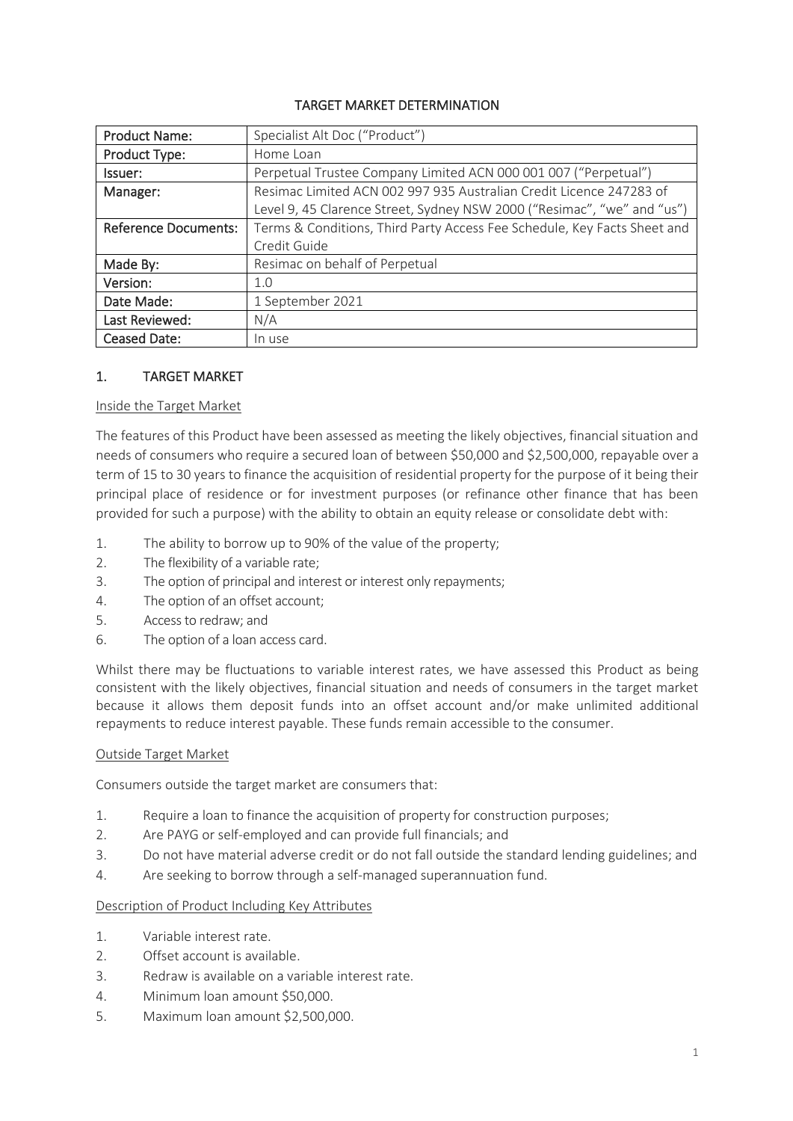## TARGET MARKET DETERMINATION

| <b>Product Name:</b>        | Specialist Alt Doc ("Product")                                           |  |  |
|-----------------------------|--------------------------------------------------------------------------|--|--|
| Product Type:               | Home Loan                                                                |  |  |
| Issuer:                     | Perpetual Trustee Company Limited ACN 000 001 007 ("Perpetual")          |  |  |
| Manager:                    | Resimac Limited ACN 002 997 935 Australian Credit Licence 247283 of      |  |  |
|                             | Level 9, 45 Clarence Street, Sydney NSW 2000 ("Resimac", "we" and "us")  |  |  |
| <b>Reference Documents:</b> | Terms & Conditions, Third Party Access Fee Schedule, Key Facts Sheet and |  |  |
|                             | Credit Guide                                                             |  |  |
| Made By:                    | Resimac on behalf of Perpetual                                           |  |  |
| Version:                    | 1.0                                                                      |  |  |
| Date Made:                  | 1 September 2021                                                         |  |  |
| Last Reviewed:              | N/A                                                                      |  |  |
| <b>Ceased Date:</b>         | In use                                                                   |  |  |

#### 1. TARGET MARKET

#### Inside the Target Market

The features of this Product have been assessed as meeting the likely objectives, financial situation and needs of consumers who require a secured loan of between \$50,000 and \$2,500,000, repayable over a term of 15 to 30 years to finance the acquisition of residential property for the purpose of it being their principal place of residence or for investment purposes (or refinance other finance that has been provided for such a purpose) with the ability to obtain an equity release or consolidate debt with:

- 1. The ability to borrow up to 90% of the value of the property;
- 2. The flexibility of a variable rate;
- 3. The option of principal and interest or interest only repayments;
- 4. The option of an offset account;
- 5. Access to redraw; and
- 6. The option of a loan access card.

Whilst there may be fluctuations to variable interest rates, we have assessed this Product as being consistent with the likely objectives, financial situation and needs of consumers in the target market because it allows them deposit funds into an offset account and/or make unlimited additional repayments to reduce interest payable. These funds remain accessible to the consumer.

#### Outside Target Market

Consumers outside the target market are consumers that:

- 1. Require a loan to finance the acquisition of property for construction purposes;
- 2. Are PAYG or self-employed and can provide full financials; and
- 3. Do not have material adverse credit or do not fall outside the standard lending guidelines; and
- 4. Are seeking to borrow through a self-managed superannuation fund.

#### Description of Product Including Key Attributes

- 1. Variable interest rate.
- 2. Offset account is available.
- 3. Redraw is available on a variable interest rate.
- 4. Minimum loan amount \$50,000.
- 5. Maximum loan amount \$2,500,000.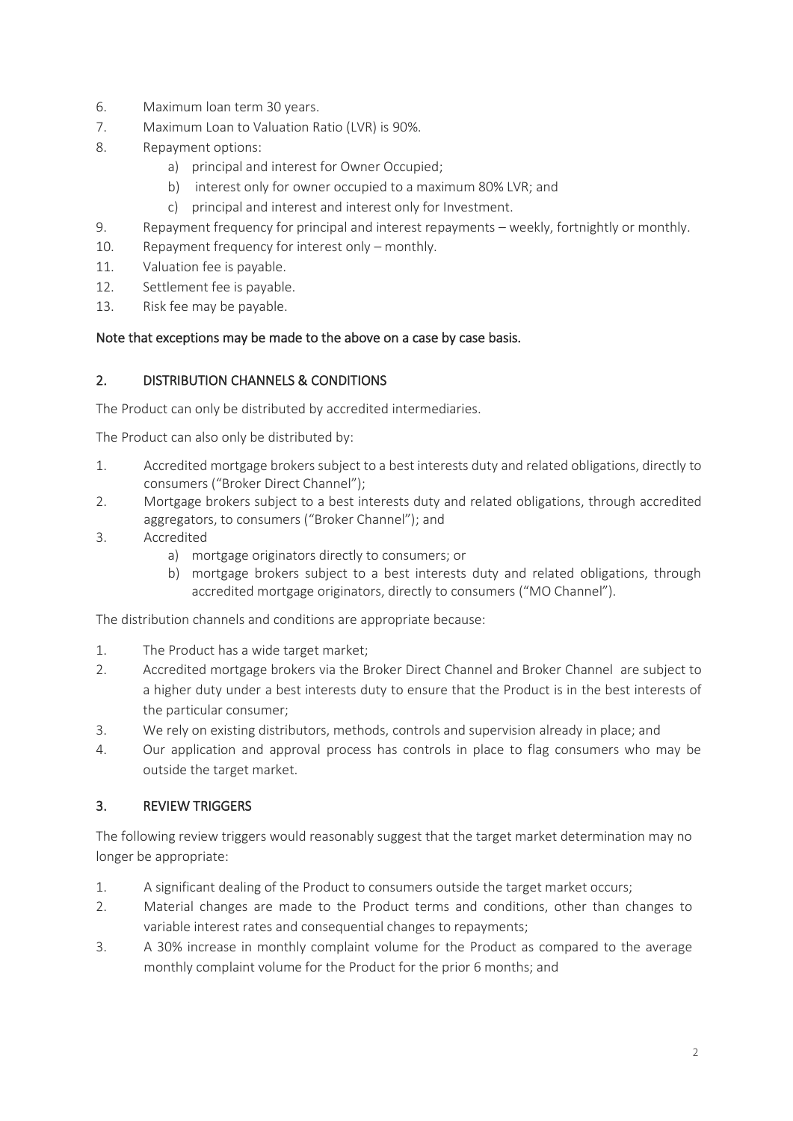- 6. Maximum loan term 30 years.
- 7. Maximum Loan to Valuation Ratio (LVR) is 90%.
- 8. Repayment options:
	- a) principal and interest for Owner Occupied;
	- b) interest only for owner occupied to a maximum 80% LVR; and
	- c) principal and interest and interest only for Investment.
- 9. Repayment frequency for principal and interest repayments weekly, fortnightly or monthly.
- 10. Repayment frequency for interest only monthly.
- 11. Valuation fee is payable.
- 12. Settlement fee is payable.
- 13. Risk fee may be payable.

## Note that exceptions may be made to the above on a case by case basis.

## 2. DISTRIBUTION CHANNELS & CONDITIONS

The Product can only be distributed by accredited intermediaries.

The Product can also only be distributed by:

- 1. Accredited mortgage brokers subject to a best interests duty and related obligations, directly to consumers ("Broker Direct Channel");
- 2. Mortgage brokers subject to a best interests duty and related obligations, through accredited aggregators, to consumers ("Broker Channel"); and
- 3. Accredited
	- a) mortgage originators directly to consumers; or
	- b) mortgage brokers subject to a best interests duty and related obligations, through accredited mortgage originators, directly to consumers ("MO Channel").

The distribution channels and conditions are appropriate because:

- 1. The Product has a wide target market;
- 2. Accredited mortgage brokers via the Broker Direct Channel and Broker Channel are subject to a higher duty under a best interests duty to ensure that the Product is in the best interests of the particular consumer;
- 3. We rely on existing distributors, methods, controls and supervision already in place; and
- 4. Our application and approval process has controls in place to flag consumers who may be outside the target market.

## 3. REVIEW TRIGGERS

The following review triggers would reasonably suggest that the target market determination may no longer be appropriate:

- 1. A significant dealing of the Product to consumers outside the target market occurs;
- 2. Material changes are made to the Product terms and conditions, other than changes to variable interest rates and consequential changes to repayments;
- 3. A 30% increase in monthly complaint volume for the Product as compared to the average monthly complaint volume for the Product for the prior 6 months; and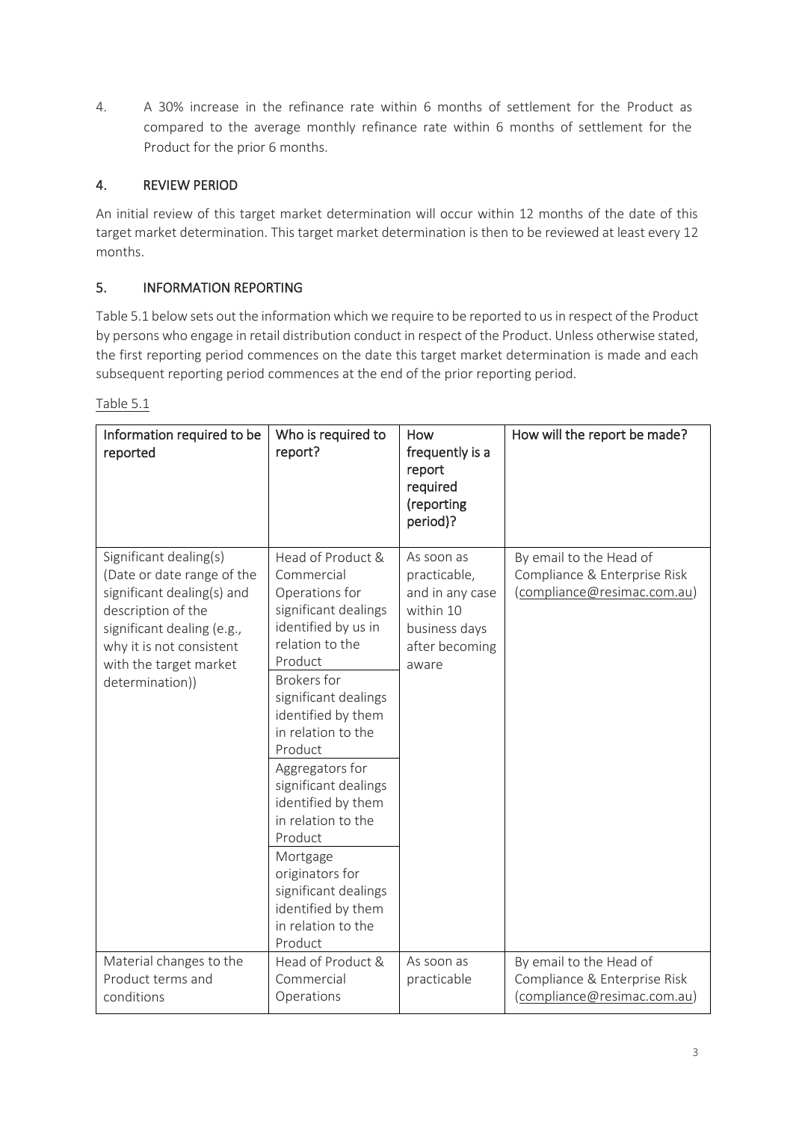4. A 30% increase in the refinance rate within 6 months of settlement for the Product as compared to the average monthly refinance rate within 6 months of settlement for the Product for the prior 6 months.

# 4. REVIEW PERIOD

An initial review of this target market determination will occur within 12 months of the date of this target market determination. This target market determination is then to be reviewed at least every 12 months.

## 5. INFORMATION REPORTING

Table 5.1 below sets out the information which we require to be reported to us in respect of the Product by persons who engage in retail distribution conduct in respect of the Product. Unless otherwise stated, the first reporting period commences on the date this target market determination is made and each subsequent reporting period commences at the end of the prior reporting period.

| Information required to be<br>reported                                                                                                                                                                          | Who is required to<br>report?                                                                                                                                                                                                                                                                                                                                                                                                                       | How<br>frequently is a<br>report<br>required<br>(reporting<br>period)?                                 | How will the report be made?                                                           |
|-----------------------------------------------------------------------------------------------------------------------------------------------------------------------------------------------------------------|-----------------------------------------------------------------------------------------------------------------------------------------------------------------------------------------------------------------------------------------------------------------------------------------------------------------------------------------------------------------------------------------------------------------------------------------------------|--------------------------------------------------------------------------------------------------------|----------------------------------------------------------------------------------------|
| Significant dealing(s)<br>(Date or date range of the<br>significant dealing(s) and<br>description of the<br>significant dealing (e.g.,<br>why it is not consistent<br>with the target market<br>determination)) | Head of Product &<br>Commercial<br>Operations for<br>significant dealings<br>identified by us in<br>relation to the<br>Product<br><b>Brokers</b> for<br>significant dealings<br>identified by them<br>in relation to the<br>Product<br>Aggregators for<br>significant dealings<br>identified by them<br>in relation to the<br>Product<br>Mortgage<br>originators for<br>significant dealings<br>identified by them<br>in relation to the<br>Product | As soon as<br>practicable,<br>and in any case<br>within 10<br>business days<br>after becoming<br>aware | By email to the Head of<br>Compliance & Enterprise Risk<br>(compliance@resimac.com.au) |
| Material changes to the<br>Product terms and<br>conditions                                                                                                                                                      | Head of Product &<br>Commercial<br>Operations                                                                                                                                                                                                                                                                                                                                                                                                       | As soon as<br>practicable                                                                              | By email to the Head of<br>Compliance & Enterprise Risk<br>(compliance@resimac.com.au) |

Table 5.1